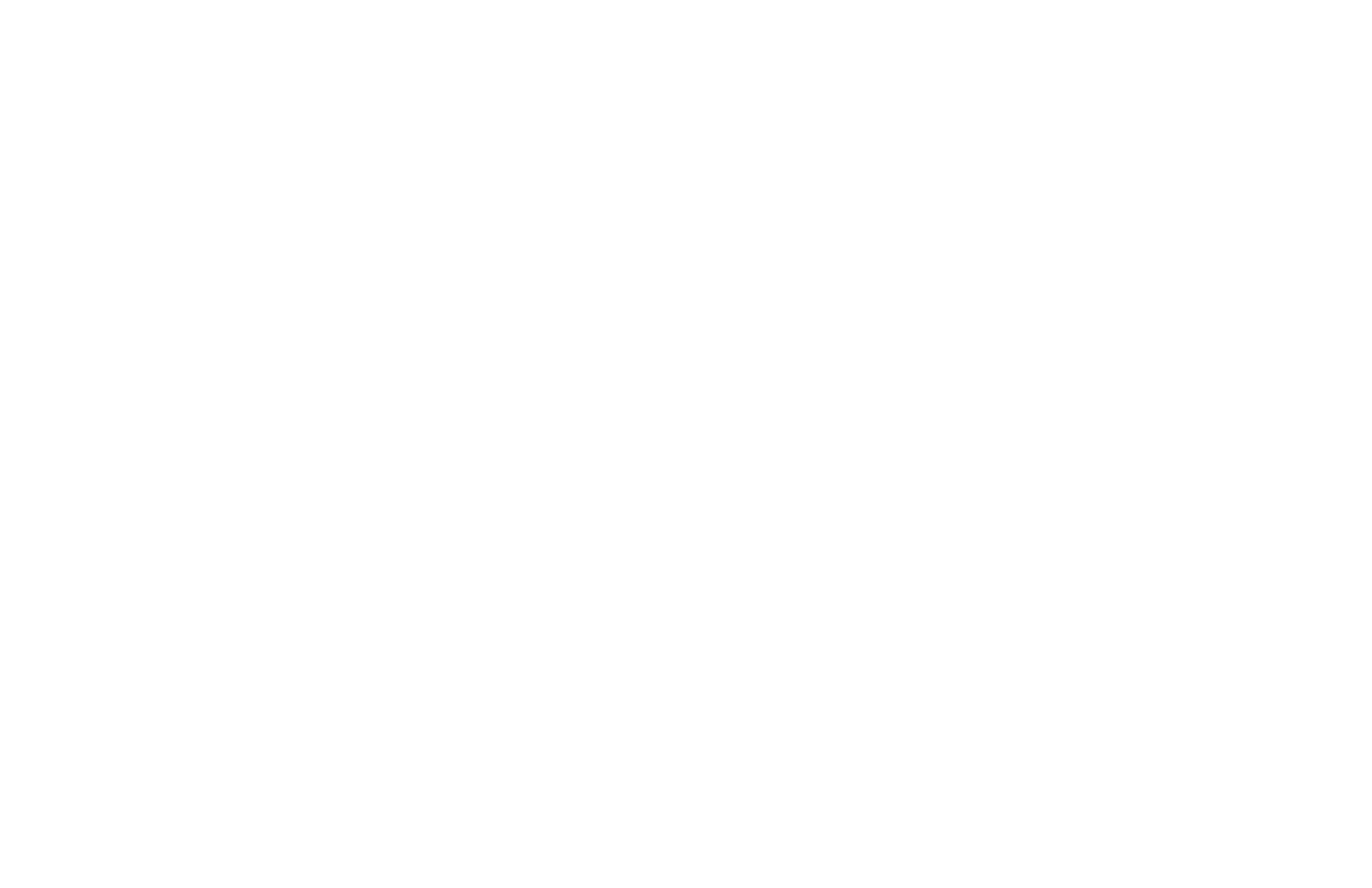

# Higher Education Quality Council of Ontario 2022–2025 Business Plan

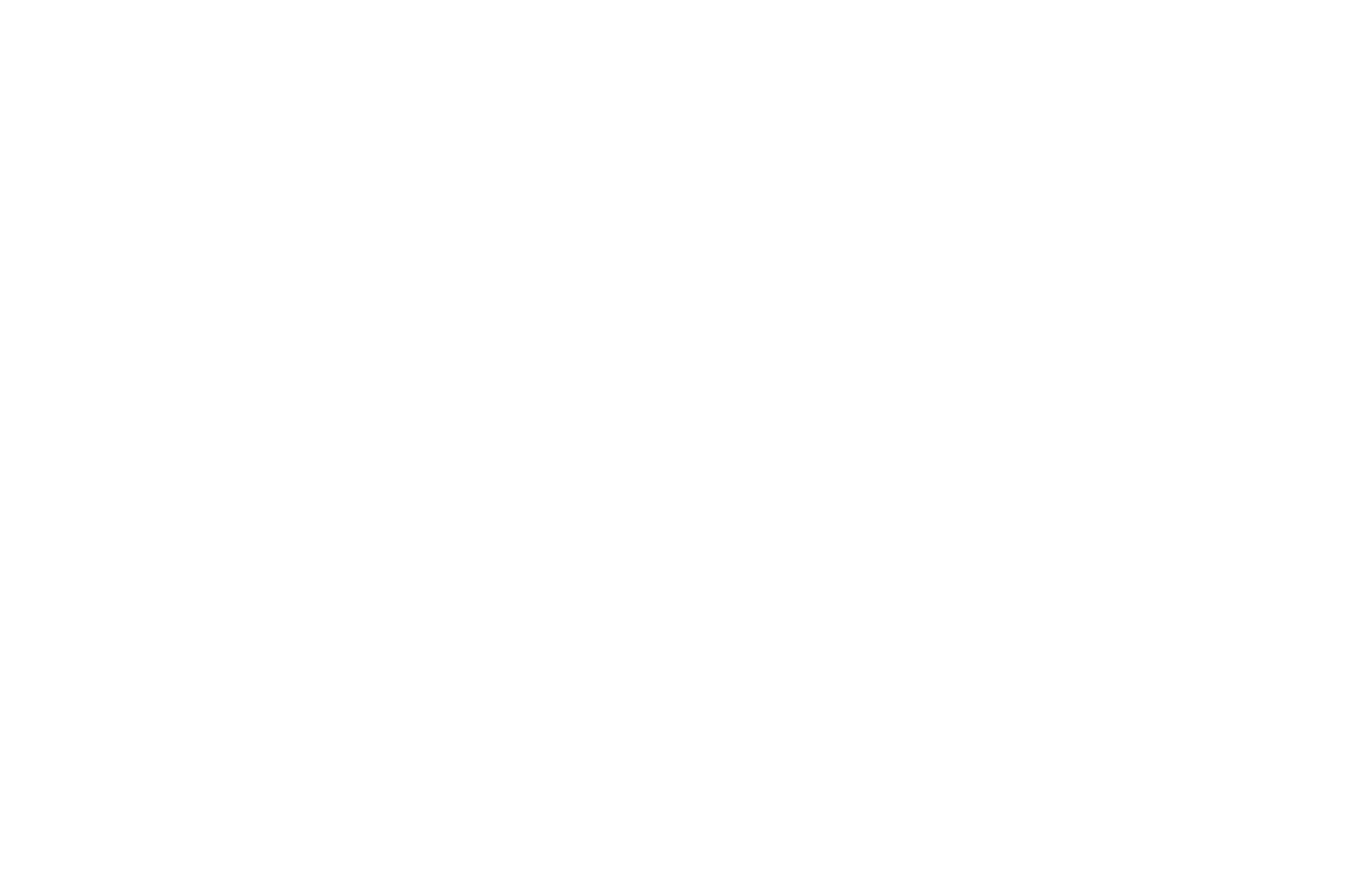# **Mandate**

"To assist the Ministry of Colleges and Universities in improving all aspects of the postsecondary education sector, including improving the quality of education provided in the sector, access to postsecondary education and accountability of postsecondary educational institutions" (HEQCO Act, 2005).

# **Mission**

HEQCO informs the future of Ontario higher education through authoritative research, effective communication of meaningful data and evidence-based options for solutions to the challenges facing Ontario's postsecondary system.

# **Vision**

HEQCO seeks to influence the key decisions, practices and policies that will guide Ontario's public postsecondary system to national and international leadership and provide Ontarians with the greatest opportunities for social mobility and economic success.

# **Values**

**Continuously pursue independent, high-quality research:** HEQCO maintains a distinctive position in the research community as a credible, authoritative and influential agency through a foundation of independent, objective, high-quality analysis to provide the best evidence-based advice to government and postsecondary institutions. By remaining attentive to emerging trends, HEQCO has the agility to pursue promising new avenues of research as opportunities arise.

**Engage with leaders and practitioners worldwide:** HEQCO's work is strengthened through relationships with postsecondary institutions, non-profit agencies and community organizations. Through these connections, we ensure that the very best thinking from around the world is made available to Ontario decision-makers as a catalyst for informed decisions, collaboration and innovation. HEQCO's global perspective on higher education research, policy and practice brings the best ideas, findings and insights to Ontario. Many of Ontario's postsecondary education (PSE) challenges are shared by jurisdictions across Canada and worldwide.

**Communicate with our audiences in accessible and meaningful ways:** HEQCO contributes to the effective movement of evidence-based solutions into policy development and best practice, through understandable and direct communication. To help bridge the gap between complex research knowledge and its active use in the PSE sector, HEQCO's work is written in an accessible style and publicly available.

**Advocate for data collection and transparency:** HEQCO remains an advocate for a more transparent, open and holistic approach to higher education data, in partnership with educational institutions, organizations and governments. Data is the lifeblood of evidence-based policy decision-making and HEQCO will continue to seek out solutions to the significant and persistent data gaps that exist at both the provincial and national level.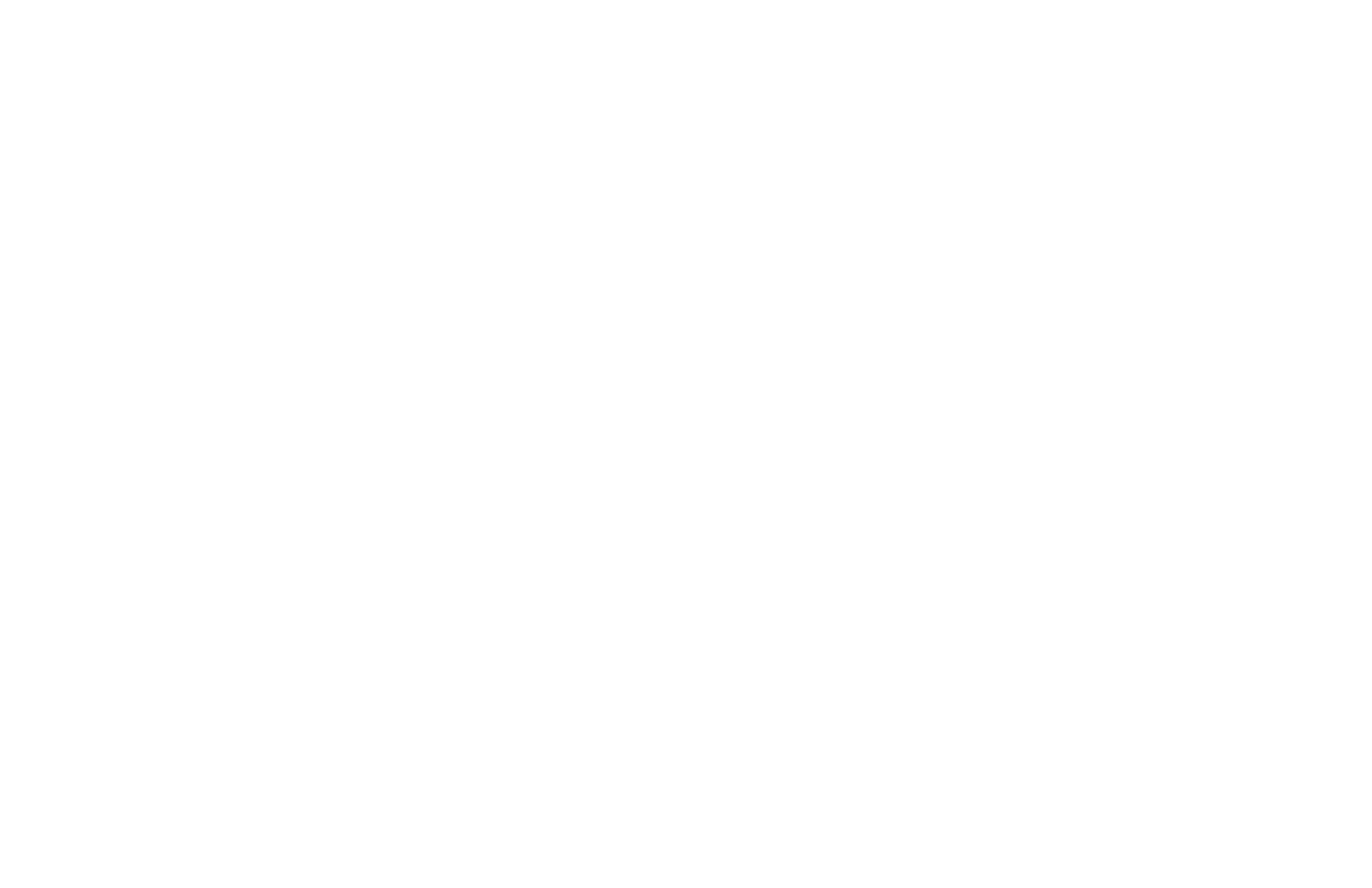**Recognize that accountability is a foundational tool for system improvement:** HEQCO explores system design models across the globe to improve postsecondary access and quality in Ontario.

**Respond to government priorities and mandates:** HEQCO ensures that evidence-based research and evaluation of the highest quality informs policy decision-making and practice, in alignment with the Ministry of Colleges and Universities.

**Be equipped to achieve our goals:** HEQCO is committed to ensuring that our organizational structure and staff capabilities maximize impact and drive toward the achievement of our vision for Ontario postsecondary education.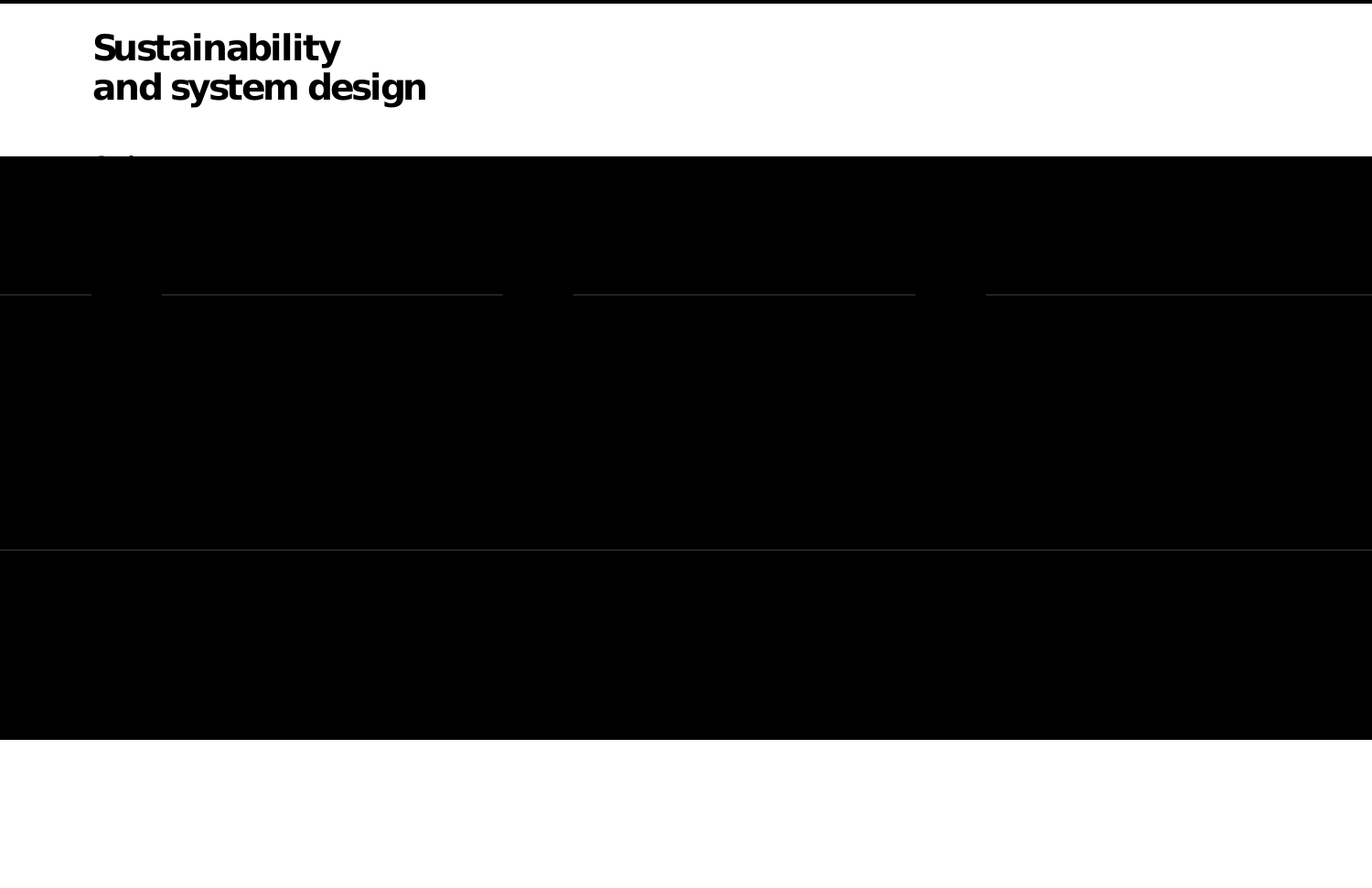# **Strategic Vision — Message from HEQCO's President and CEO**

Since its creation, HEQCO has provided evidence-based solutions to ensure government, students, institutions and the public are getting the full benefit of a high-quality postsecondary education system. Ontario's higher education system provides the building blocks for personal development, social mobility and economic success and during a time of significant change and turmoil; the investment being made in colleges and universities is as essential as ever.

In our most recent mandate letter, the Minister of Colleges and Universities reaffirmed that HEQCO's focus on improving the quality, access and system design of the postsecondary sector, as well as our ongoing role in free speech reporting, was aligned with ministry priorities. We look forward to opportunities to assist the government in improving all aspects of Ontario's postsecondary sector.

The past year has been exciting for HEQCO as we embarked on a new research plan to inform the government and the sector about the innovative teaching and learning opportunities available in Ontario; offer new ways to conceptualize and assess student learning and skills outcomes; inform policy-makers and institutional leaders as they navigate the post-pandemic landscape and work toward a more sustainable system; and provide guidance on how best to ensure equitable access for all students. Given the complexity of the issues and our interests, we've taken the following steps:

- Over the past year, we have added new researchers and student interns to expand our capacity. Our team brings a variety of professional experiences and perspectives to inform our projects and approaches. We have designed our team to include members with expertise in research design, qualitative and quantitative data analysis, and data visualization techniques.
- As we developed our new framework, we met with leaders from across the province to discuss shared questions and priorities. Our work depends on the partnerships we foster with institutions, agencies and community organizations. We are pleased to have established new partnerships with institutions, school boards, advisory groups, not-forprofit organizations and research organizations and we look forward to continued conversations.
- Data is at the heart of HEQCO's work to develop evidence-based recommendations and analyses that aim to enhance postsecondary education in Ontario. Accessing data in Ontario is an ongoing challenge. To best serve students, families, employers and government, HEQCO will continue to draw attention to the research opportunities that are possible when data is made accessible. A critical development has been new data sharing agreements with the Ministry of Colleges and Universities, The Ontario College Application Service and a number of Ontario school boards. Access to previously unavailable data will strengthen and expand HEQCO's research capacity.

Our discussions on data are already delivering promising results. As part of our role to provide evaluation support at the request of the Minister of Colleges and Universities, HEQCO will conduct an evaluation of the province's Virtual Learning Strategy, including identifying opportunities to improve the data collected in Ontario on virtual learning and related outcomes. As a passionate advocate for high-quality data, this is an important step forward.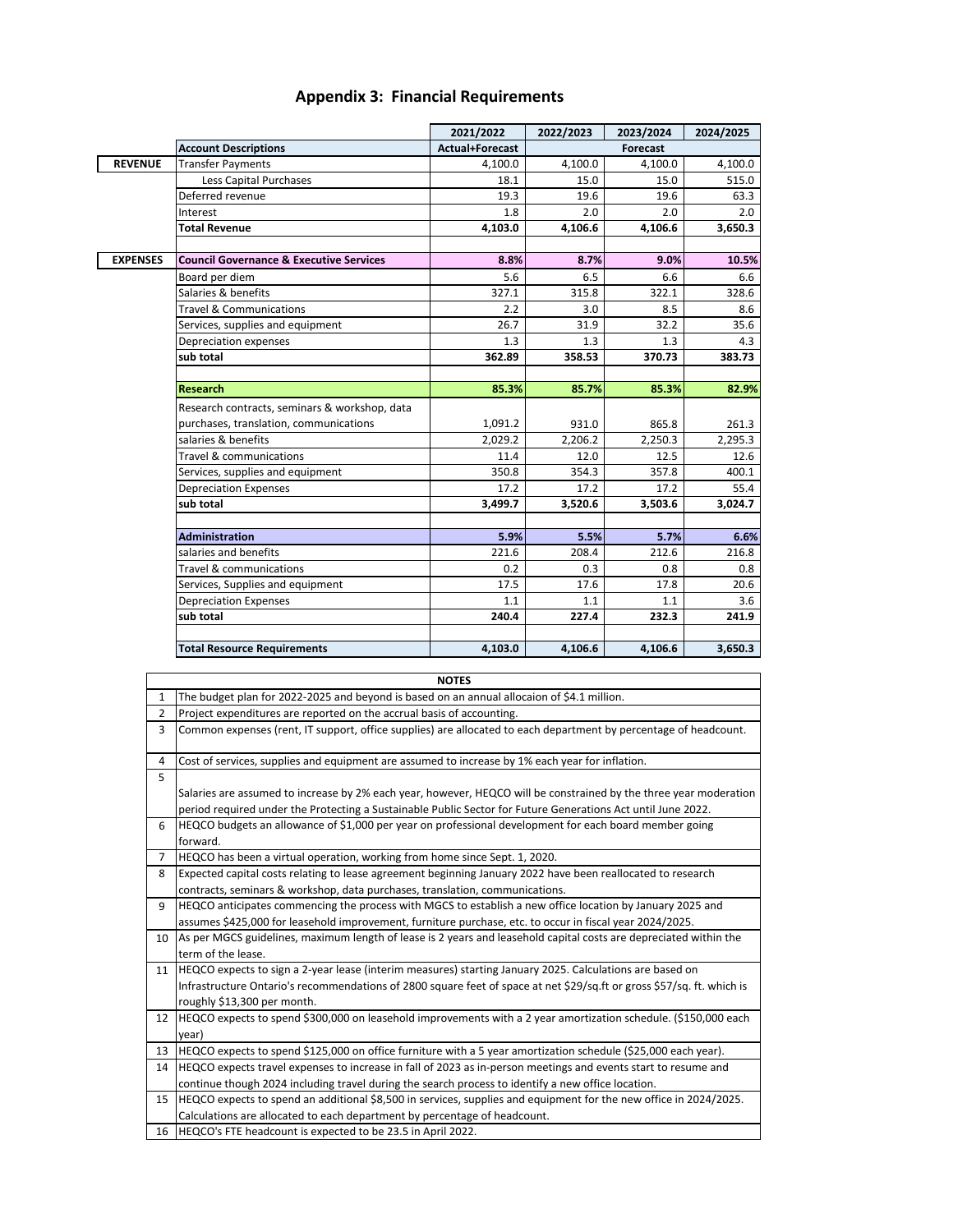I want to thank our Board of Directors for their continued support of our work and their guidance in delivering on our mandate to the government and citizens of Ontario.

franci .

Janice M. Deakin, PhD, ICD.D — President and CEO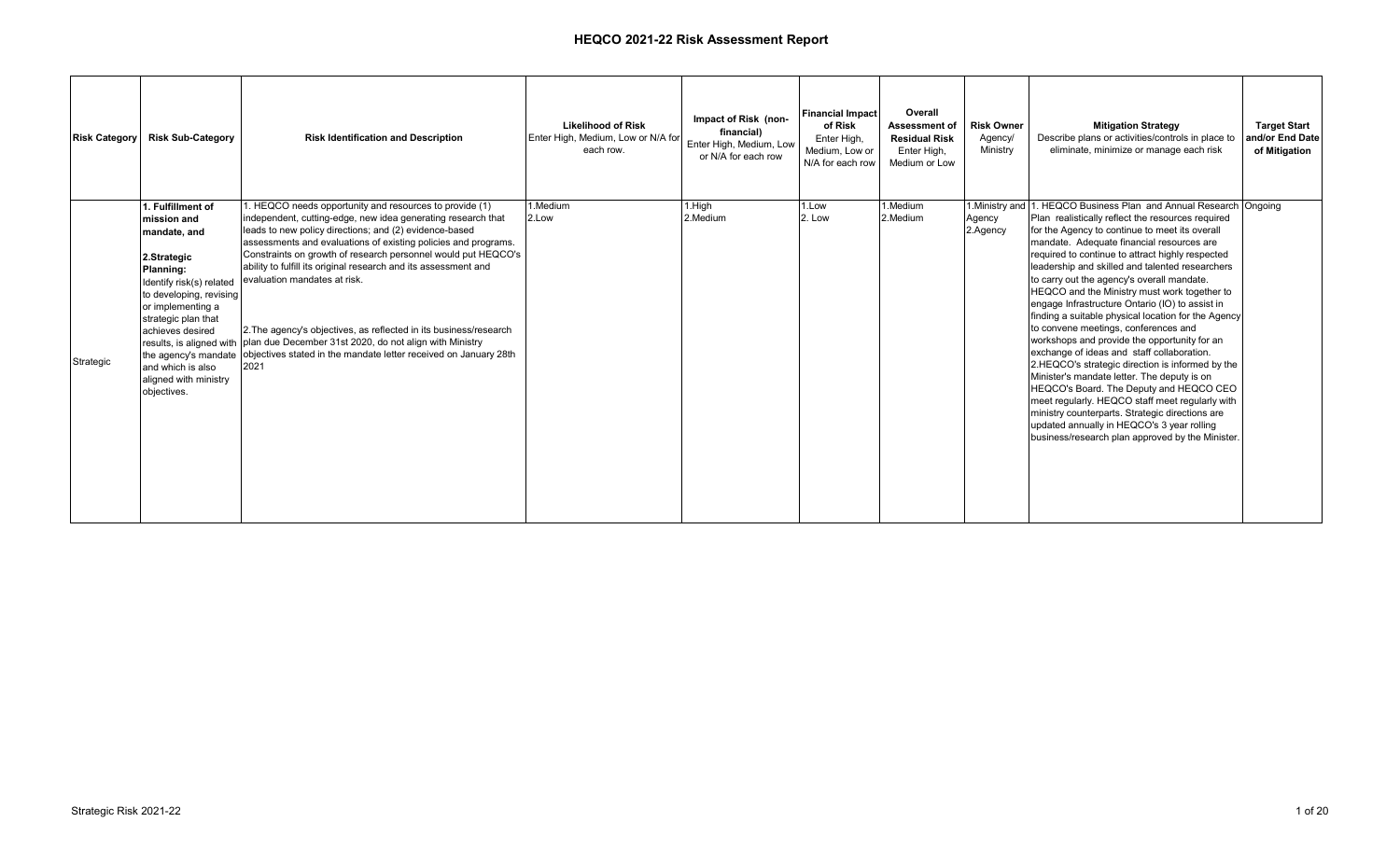# **Environmental Scan**

| <b>External Factors</b>                                                                                                                                                                                                                                                                                                                                                                                                                                | <b>Implications for HEQCO</b>                                                                                                                                                                                                                                                                                                                                                                                                                                                                                                                                                                                                                                                                                                                                                               |  |
|--------------------------------------------------------------------------------------------------------------------------------------------------------------------------------------------------------------------------------------------------------------------------------------------------------------------------------------------------------------------------------------------------------------------------------------------------------|---------------------------------------------------------------------------------------------------------------------------------------------------------------------------------------------------------------------------------------------------------------------------------------------------------------------------------------------------------------------------------------------------------------------------------------------------------------------------------------------------------------------------------------------------------------------------------------------------------------------------------------------------------------------------------------------------------------------------------------------------------------------------------------------|--|
| <b>COVID-19 Pandemic</b>                                                                                                                                                                                                                                                                                                                                                                                                                               |                                                                                                                                                                                                                                                                                                                                                                                                                                                                                                                                                                                                                                                                                                                                                                                             |  |
| The COVID-19 pandemic has had a<br>significant impact on the entire world,<br>including Ontario. The reach of this global<br>pandemic is unprecedented and while its<br>effects can be felt most on the economy and<br>sectors like healthcare, education is also<br>profoundly affected with youth and students<br>being disproportionately impacted.                                                                                                 | <b>HEQCO's Research Framework includes projects</b><br>to examine some of the impacts of the COVID-19<br>pandemic on the postsecondary sector.<br>Like many other workplaces, HEQCO pivoted to<br>remote operation due to the pandemic. Some<br>previously available data sources became<br>inaccessible due to this shift, however new data<br>sharing agreements with the Ministry of Colleges<br>and Universities, the Ontario College Application<br>Services and some school boards have allowed for<br>new research opportunities and better-quality data<br>for ongoing projects.                                                                                                                                                                                                    |  |
| <b>Government Priorities for Agency Sector</b>                                                                                                                                                                                                                                                                                                                                                                                                         |                                                                                                                                                                                                                                                                                                                                                                                                                                                                                                                                                                                                                                                                                                                                                                                             |  |
| As part of the government of Ontario,<br>agencies are expected to act in the best<br>interests of Ontarians by being efficient,<br>effective, and providing value for money to<br>taxpayers.<br>Government expects agencies to focus on:<br>Competitiveness, sustainability and<br>expenditure management<br>Transparency and accountability<br>٠<br>Risk management<br>$\bullet$<br>Workforce management<br>$\bullet$<br>Data collection<br>$\bullet$ | HEQCO established a series of indicators to<br>ensure responsible, sustainable, efficient,<br>transparent and accountable operation. The shift to<br>remote operation increased efforts to deliver<br>services digitally, where possible, and to explore<br>new possibilities for stakeholder engagement,<br>partnerships and data opportunities. New business<br>systems and approaches designed specifically for a<br>remote environment have improved efficiencies.<br>HEQCO research staff continue to embrace<br>opportunities for knowledge mobilization in the<br>virtual space and all public HEQCO material is<br>available digitally.                                                                                                                                             |  |
| Digital delivery and customer service<br>Diversity and inclusion<br>COVID-19 recovery                                                                                                                                                                                                                                                                                                                                                                  | Equity of access has been a pillar of HEQCO's<br>research agenda since the agency was founded<br>and the current Strategic Research Framework<br>extends this work with a focus on equitable access<br>and outcomes for Ontarians. The research<br>framework includes several access and equity<br>topics, including the differential impact of COVID-<br>19 on access and retention for students from<br>traditionally underrepresented groups. HEQCO has<br>incorporated equity, diversity and inclusion (EDI)<br>training as part of its professional development.<br>Examinations of topics such as transitions to PSE<br>during the pandemic, the quality of work-integrated<br>learning, skills development and Universal Design<br>for Learning can help provide guidance on how the |  |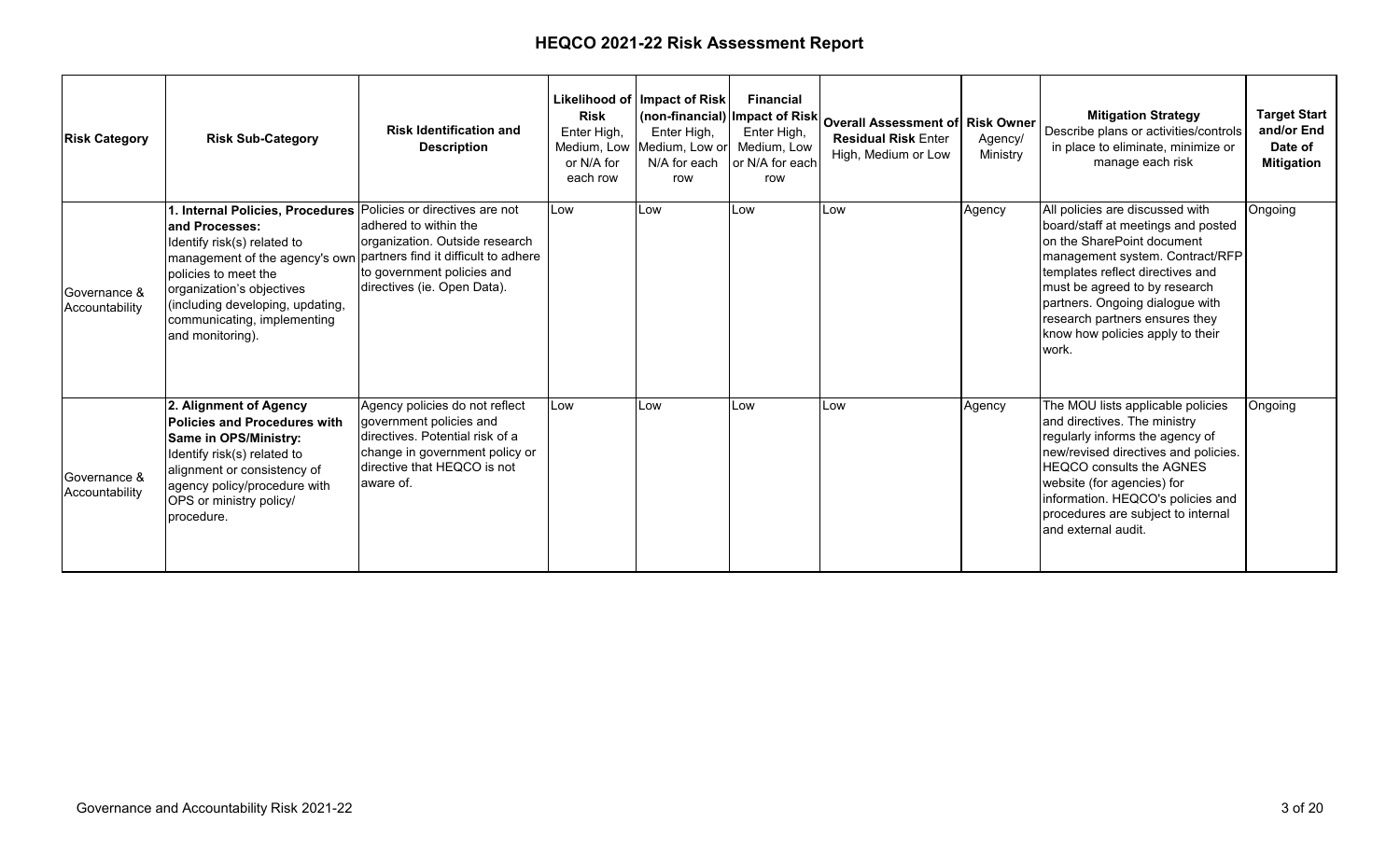| <b>External Factors</b>                                                                                                                                                                                                                                                                                                                                                                                                                                                                                                                            | <b>Implications for HEQCO</b>                                                                                                                                                                                                                                                                                                                                                                                                                                                                                                                                                                                                                                                                    |
|----------------------------------------------------------------------------------------------------------------------------------------------------------------------------------------------------------------------------------------------------------------------------------------------------------------------------------------------------------------------------------------------------------------------------------------------------------------------------------------------------------------------------------------------------|--------------------------------------------------------------------------------------------------------------------------------------------------------------------------------------------------------------------------------------------------------------------------------------------------------------------------------------------------------------------------------------------------------------------------------------------------------------------------------------------------------------------------------------------------------------------------------------------------------------------------------------------------------------------------------------------------|
| <b>Stakeholders</b>                                                                                                                                                                                                                                                                                                                                                                                                                                                                                                                                |                                                                                                                                                                                                                                                                                                                                                                                                                                                                                                                                                                                                                                                                                                  |
| Colleges and universities across the province<br>are sharing their experiences of the<br>hardships the COVID-19 pandemic is<br>creating for students, faculty, administration<br>and support staff. Media coverage is focused<br>on the ongoing pandemic, including its impact<br>on the economy, labour market and broader<br>education sector. There is ongoing<br>discussion of what a quality educational<br>experience means for students, institutions,<br>government and employers, particularly in an<br>increasingly virtual environment. | HEQCO's research plan was developed through<br>consultations with leadership and stakeholders<br>across the Ontario postsecondary sector. It is<br>focused on the priorities that matter to institutions,<br>students and government. HEQCO's research<br>priorities contribute to the broader conversation<br>surrounding economic recovery from the COVID-19<br>pandemic and success in the labour market.<br>HEQCO will continue to develop its digital outreach<br>tools and approaches to share this information with<br>relevant stakeholders and engage with partners in<br>discussions aimed at providing evidence and<br>solutions for improving postsecondary education in<br>Ontario. |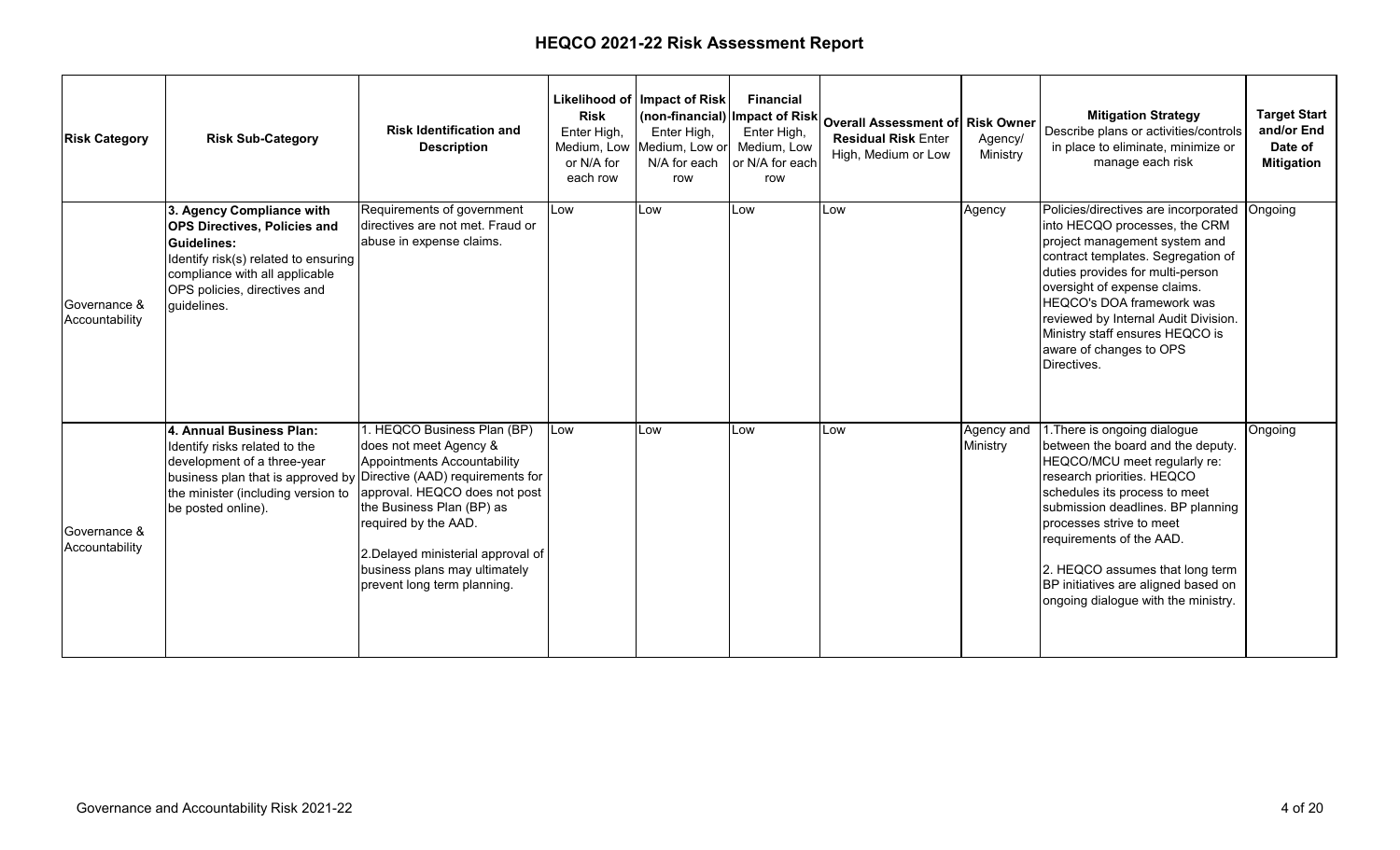# **Research Framework**

To sustain the province's strong postsecondary education system, HEQCO remains committed to investigating critical issues and sector challenges. Our Strategic Research Framework (see Appendices 1 and 2) explores critical issues in each of the core areas of HEQCO's mandate. The framework is a roadmap that builds on our long-standing research into the interconnected priorities of access, quality, and sustainability and system design. This roadmap reflects current environmental factors shaping postsecondary education in Ontario and internationally: COVID-19; anti-racism and other social justice movements spearheaded by BIPOC (Black, Indigenous and people of colour) communities; the shifting labour market; and an ongoing emphasis on public accountability. Access, quality and sustainability may appear as distinct areas of focus, but these priorities overlap in significant and important ways.

## **Access**

## **Goals**

- Expand HEQCO's access research to address equity in participation and outcomes for postsecondary students in Ontario
- Build a data infrastructure to illustrate current access and equity challenges and identify promising solutions
- Extend HEQCO's research on entry points for reskilling and lifelong learning

## Projects will examine:

## **Postsecondary preparation, access, retention and outcomes**

- Trends in enrolment, participation and retention
- COVID-19 impact on student outcomes

## **Equity benchmarking data development**

- Equity benchmarking pilot projects
- Equity benchmarking reporting

## **Historic and ongoing PSE attainment disparities**

- Destreaming initiatives
- Apprenticeship pathways in the college system and completion
- Learning requirements and campus infrastructure for student success

## **Evidence to inform reskilling, upskilling and lifelong learning**

• Trends in participation and completion of alternative credentials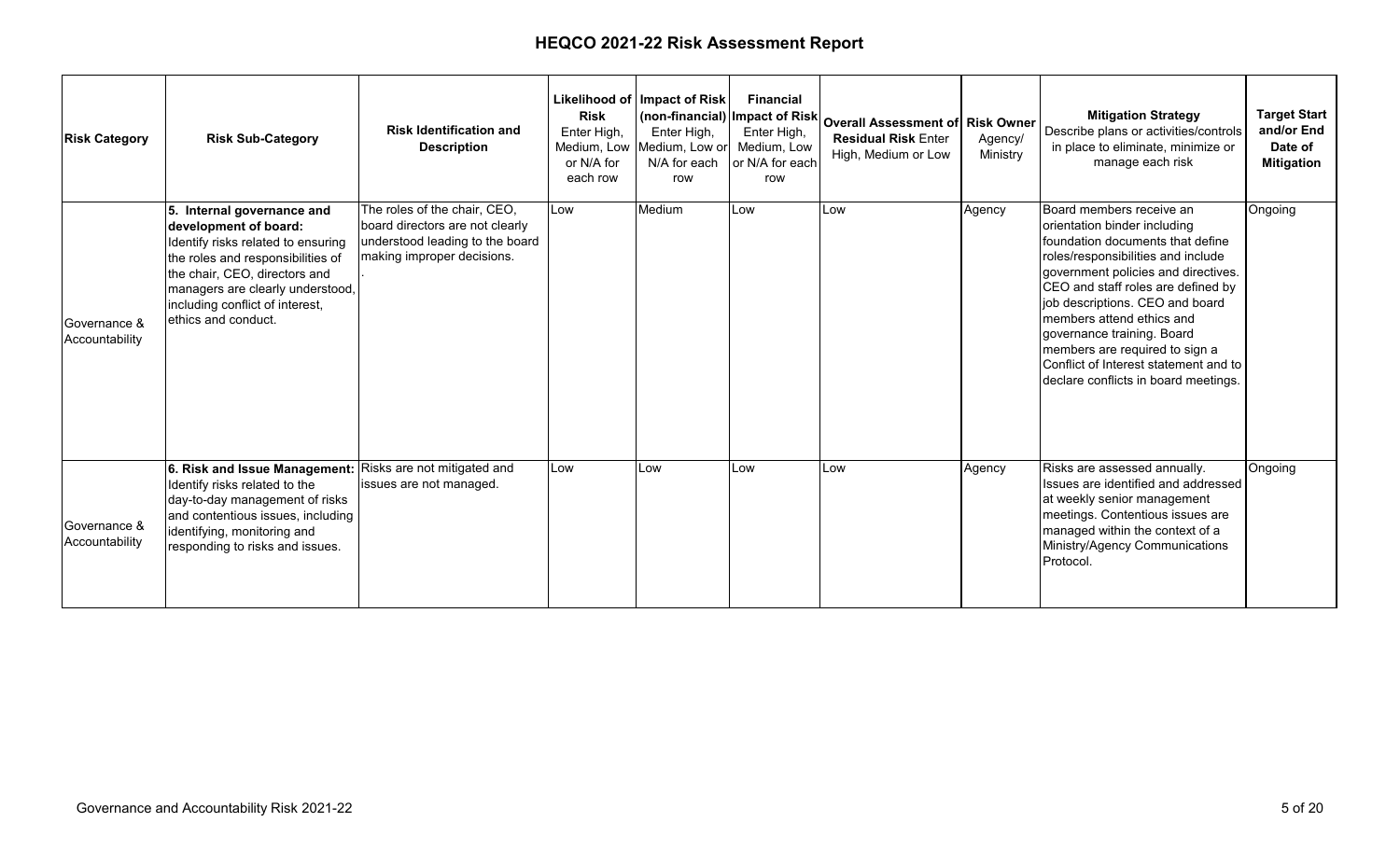## **Quality**

## **Goals**

- Expand the impact of HEQCO's work on learning outcomes through engagement with the sector stakeholders in a community of practice
- Further develop HEQCO's understanding and evaluation of teaching and learning environments
- Build a data infrastructure on the value of postsecondary education in Ontario, with a focus on skills and competencies

#### Projects will examine:

#### **Transformations in digital learning**

- Using learning outcomes to inform curriculum program design
- Shifts in curriculum and pedagogy impacted by COVID-19

#### **Skills gap: trends, evidence and impacts**

- Work-integrated and experiential learning participation and outcomes
- Performance and cost analysis for Canadian PSE
- Students' skill articulation
- Assessing students' learning and skills outcomes
- Transferable skill development in the digital environment
- COVID-19 impact on skill development

#### **Earnings premiums for PSE graduates**

- Value of Ontario credentials for graduates across programs and background characteristics
- Earnings premiums for post-COVID-19 PSE graduates
- Effects of employment disruptions on longer-term PSE graduate outcomes

#### **Sustainability and system design**

#### **Goals**

- Explore and critically review the PSE policy context in Ontario to chart a path to the future
- Examine the effects of policy decisions on system differentiation and sustainability
- Review Ontario PSE institutions' financial sustainability and cost structure

#### Projects will examine:

#### **Institutional strategies for financial sustainability**

• Internationalization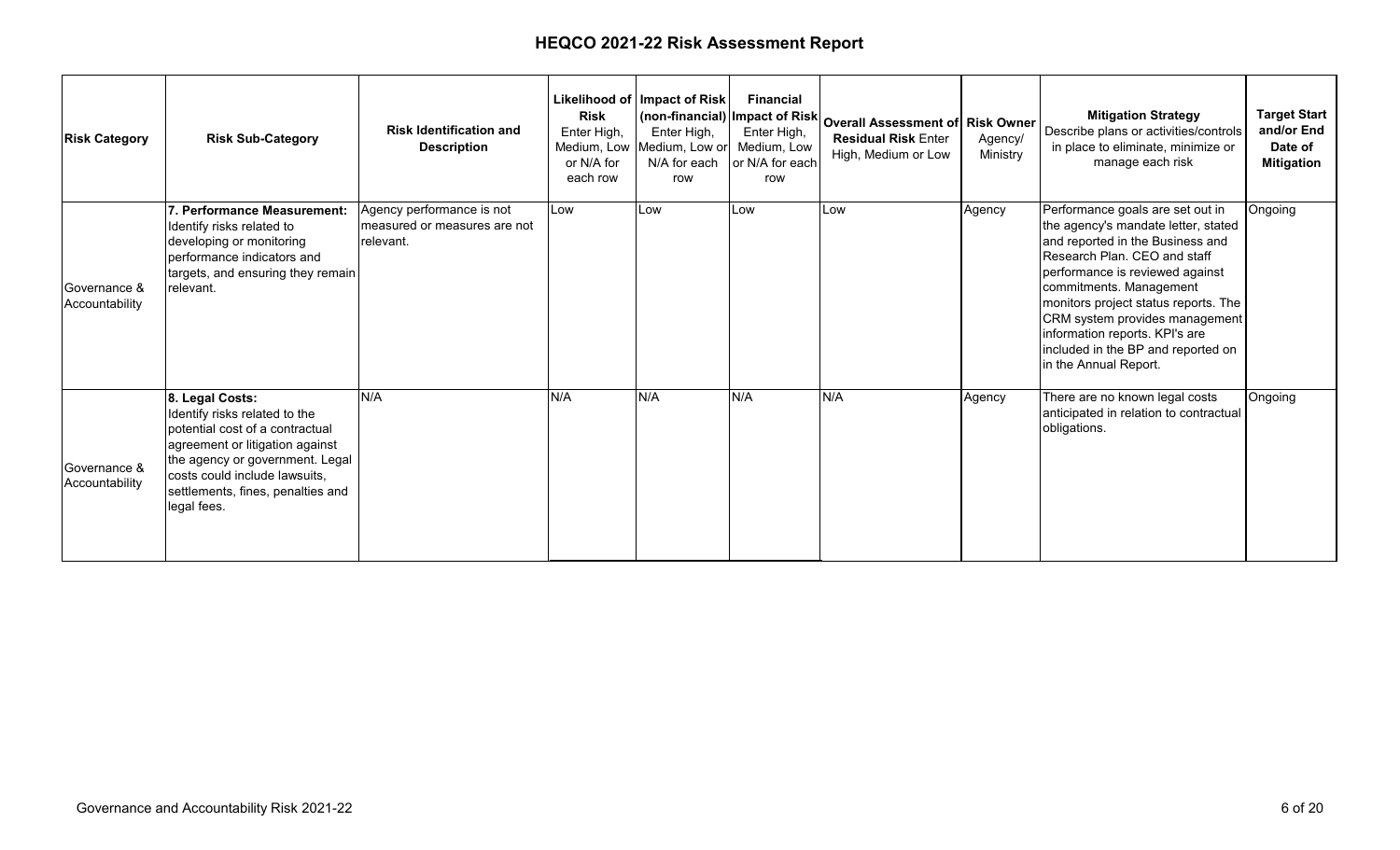- Inter-institutional partnerships
- Evolving approaches for institutional stability

## **Differentiation in Ontario PSE**

- Program development as a response to financial challenge
- SMAs and system differentiation

## **Postsecondary costs and return on investment**

- Economic impacts of PSE in Ontario
- Labour market and graduate outcomes associated with shifts in policy directions

# **Ongoing Projects**

## **Freedom of Speech on Campus [Quality]**

The objective of the Ontario Campus Free Speech Policy is to ensure that all colleges and universities have a strong and clear policy that is consistent across the sector. Regulations under the Higher Education Quality Council of Ontario Act, 2005 were amended, requiring HEQCO to monitor and evaluate ongoing implementation of free speech policies by postsecondary institutions and provide reports and recommendations to the minister. Institutions are required to submit to HEQCO annual reports detailing the implementation of their free speech policies. HEQCO reviews and assesses each institution's annual report and produces a report summarizing the findings.

## **Review of Ontario Credentials [Access, Quality, System Design and Sustainability]**

This project will examine the current credential mix in Ontario and how it is meeting the needs of learners and the labour market. As requested by the Minister of Colleges and Universities, HEQCO will also offer recommendations and implementation concerns on the potential expansion of degrees in Ontario's colleges. The project will outline current offerings in the province, examine labour market outcomes by credential type and explore cost implications for potential system-level changes to the mix of credentials.

## **Women in Academia Series [Access]**

While much of HEQCO's access work is focused on access for students, with this project the focus is on access for those working in university faculties, specifically women working in STEM disciplines. Despite advocacy efforts, collective bargaining, targeted funding and legislation, the gaps in both representation and earnings for women academics persist. This project will explore the challenges faced by women academics in STEM including difficulties accessing equal opportunities, wage gaps and the phenomenon known as the "leaky pipeline" which leads to many women to leaving STEM. The project will include the findings from interviews with professors, graduate students and women who left academic STEM.

# **PSE Transitions During COVID [Access]**

This project will explore how students whose final years of high school were disrupted by the pandemic are faring in the transition from high school to postsecondary. In partnership with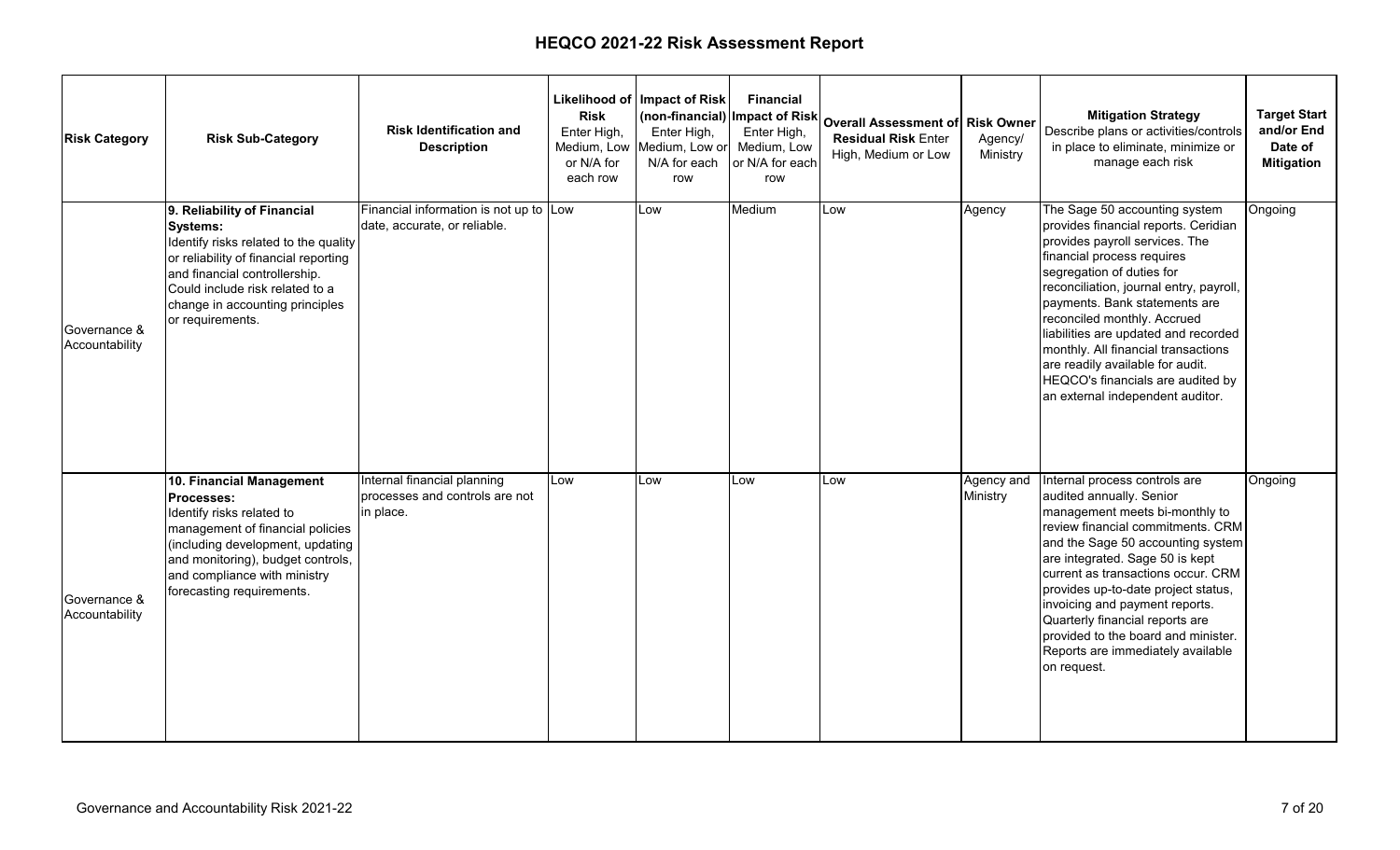Academica, the project surveyed students after their first year of college or university and will shed light on preparedness for PSE, decision-making processes and experiences in first year. The information gathered will help institutions accommodate the needs of incoming students whose learning was disrupted by the COVID-19 pandemic. This project will also involve partnerships with Ontario school boards to access data to better understand learning gaps and preferences PSE institutions should be aware of. Through a partnership with the Ontario College Application Service (OCAS) questions were added to their applicant survey about how COVID-19 impacted student applications, including decisions about which programs to apply to.

# **Work-integrated learning [Access, Quality]**

Work-integrated learning (WIL) — which encompasses co-operative education, internships, work placements and apprenticeships — is becoming more widespread in today's colleges and universities with the goals of preparing students for the post-graduate labour market and better integrating learning and work. WIL is an important component of many college and university programs and is seen as a potential means of addressing the perceived skills gap. HEQCO's upcoming work in WIL involves multiple projects. HEQCO is conducting surveys to gauge perception of the experience and impacts of shifting WIL to an online model and asking critical questions on accessibility, equity and inclusion. These projects will combine federal and survey data, in partnership with Academica, to examine the experiences of students, employers and administrators.

# **Skills Consortium [Quality]**

HEQCO established a Skills Consortium to explore effective ways to teach essential skills. Through a request for proposal process, seven institutional projects with a focus on innovations or interventions relating to the acquisition, development and/or articulation of transferable skills were selected. A final report on these projects will focus on recommendations aimed at province-wide improvement of transferable skills.

# **Social Mobility [Access]**

The benefits of postsecondary education for social mobility are well established, but they are not accessed equally. Using a combination of federal data and survey responses, this project will examine who benefits the most from attending college or university and why the benefits are not equal for all graduates. The report will consider labour market performance, inter-generational impacts and unseen barriers for students.

# **Hamilton Community Research Project [Access]**

The Hamilton Community Research Project (CRP) is a coalition of six organizations— Hamilton's public and catholic school boards, McMaster University, Mohawk College, the Hamilton Community Foundation and HEQCO. The CRP was organized to address a gap in available data about educational pathways, while being mindful of stakeholders' privacy concerns. Despite the volume of information they collect, school boards and postsecondary institutions lack information on educational pathways before and after their students' attendance. Together, the CRP created a shared, de-identified data set that provides insight into student pathways to and through secondary and postsecondary education in Hamilton. HEQCO-published reports will address critical questions for student access. Are graduates of Hamilton secondary schools attending postsecondary? How can school boards improve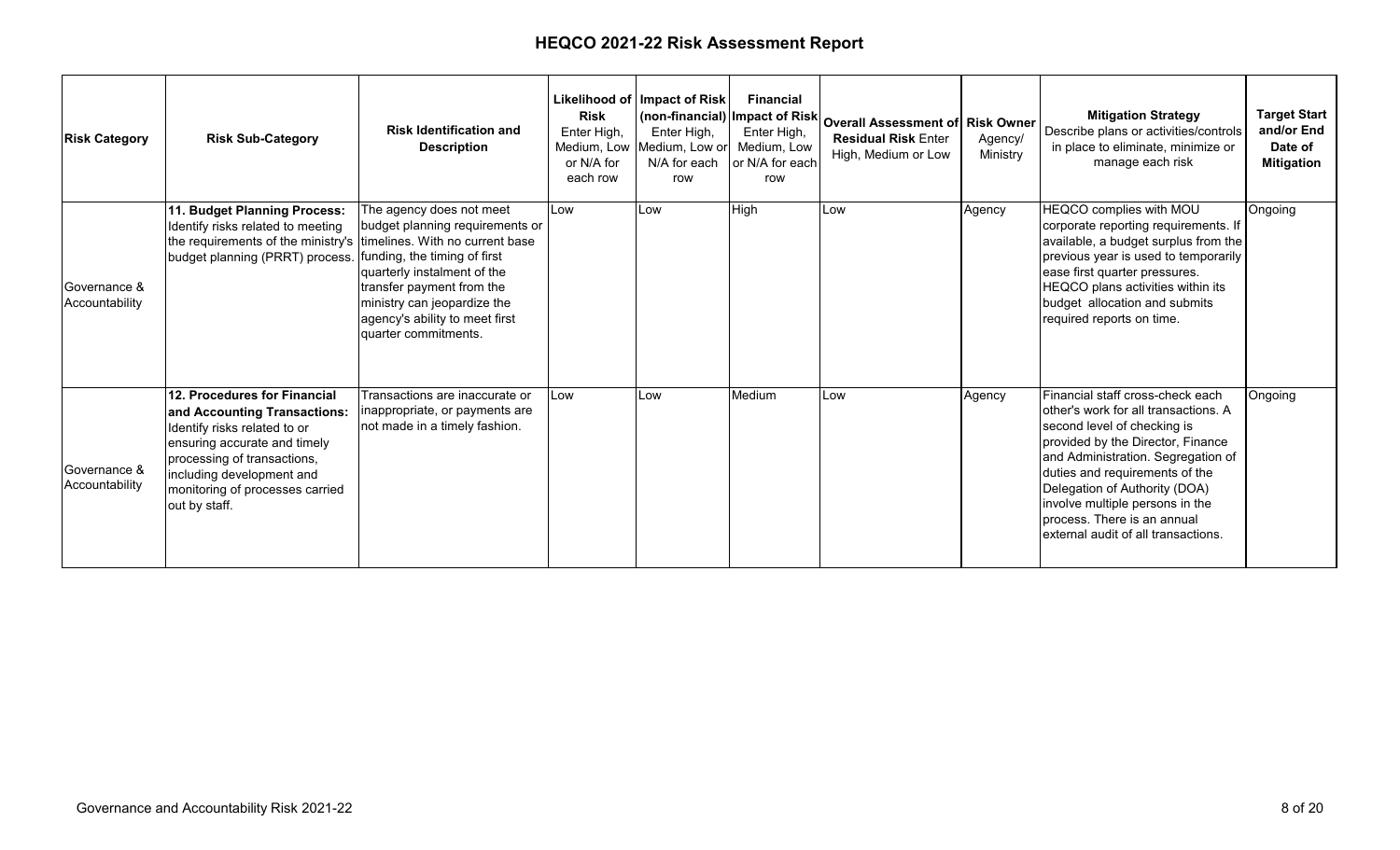postsecondary outcomes for underrepresented groups? How are students who attend postsecondary doing once there? And how can colleges and universities better accommodate the needs of incoming students? Future work drawing on the data will focus on numeracy skills and other predictors of postsecondary access and success.

# **Evaluation of Destreaming in Hamilton [Access]**

In light of the Ontario Government announcement that streaming in Grade 9 is coming to an end in all subjects, it is important to evaluate the impact this will have on student outcomes and equity. In partnership with two Ontario school boards, math destreaming interventions such as mentorship programs, courses aimed at learning gaps and additional support resources will be evaluated to determine their impact on student success and performance on tests and assessments. The project will include data on use of supports, surveys of students, interviews with teachers and an analysis of student achievement data such as EQAO scores and course grades.

# **Universal Design for Learning (UDL) [Access, Quality]**

Recent HEQCO reports on accessibility and supports for students with disabilities have emphasized the importance of embracing Universal Design for Learning (UDL) across institutions. This project is aimed at facilitating institution-wide uptake of UDL principles and practices at Ontario's colleges and universities by gathering evidence about the best approaches. Through a series of discussion-focused events, the project will examine the barriers and opportunities for engaging institution staff and implications for equity, diversity and inclusion principles when adopting UDL. The project will result in a report of recommendations and the establishment of a community of practice that an Ontario college plans to sustain/lead.

# **Confederation College's Indigenous Knowledge Implementation Packsack [Quality]**

Continuing the work of Confederation College's Learning Outcomes Assessment Consortium project, this initiative is focused on best practices, tools and advice for embedding Indigenous Learning Outcomes throughout the learning process.

# **Postsecondary and Workplace Skills (PAWS) [Quality]**

In the final phase of HEQCO's Postsecondary and Workplace Skills (PAWS) project, Employment and Social Development Canada will examine the labour market outcomes for students who participated in the earlier PAWS assessments to examine how literacy and numeracy are connected to employment and earnings. Tax file information from five years after assessment will be used along with data from Statistics Canada.

# **Experiences of Refugee Students [Access, Quality]**

As part of a partnership with the Newcomer Student Alliance, HEQCO will examine the retention, graduation and labour market outcomes for refugee students using data from Statistics Canada and interviews. Recent global events have led to a possible increase in refugees and while they are counted in the system as domestic students, refugees often face similar barriers and challenges to those of international students.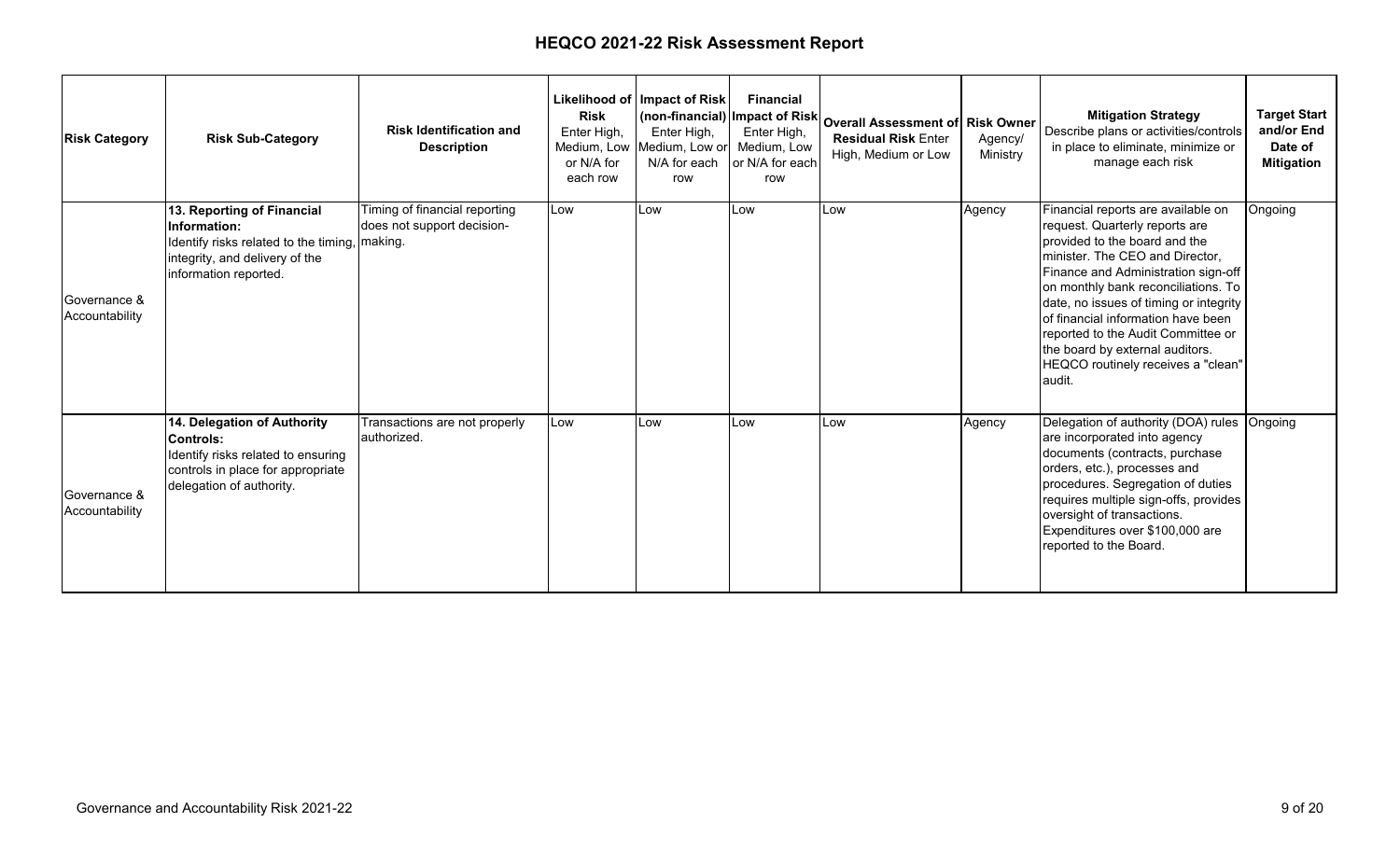# **Upcoming Projects**

## **Evaluation of the Virtual Learning Strategy [Access, Quality, System Design and Sustainability]**

In December 2020, the provincial government announced a \$50 million investment in a new Virtual Learning Strategy, with an additional \$21.4 million committed over two years. At the request of the Minister of Colleges and Universities, HEQCO will conduct an evaluation to ensure the strategy is delivering the desired outcomes. This project will compare outcomes for students learning virtually relative to those in traditional instruction, examine faculty and student engagement, better understand perceptions of quality, and explore equity concerns and potential financial impacts on students and the system. HEQCO will also work closely with the Ministry to identify opportunities to improve data collection specific to online and virtual outcomes.

## **Impact 2022 [Access, Quality, System Design and Sustainability]**

This project is an update to work HEQCO published in the spring of 2015 that offered a comprehensive analysis of postsecondary performance across Canada. Using a wide range of indicators for colleges and universities, each province's postsecondary system will be evaluated based on their operating cost per student to examine the correlation between the performance of a system and the funding it receives. An Ontario focused component of the project will examine institutional performance based on institution type, size, program mix and/or location. A new aspect of this project will be an exploration of the connection between issues of equity and system accountability. This project was planned for the previous business cycle, however access to Research Data Centres was interrupted by pandemic restrictions.

# **Strategic Mandate Agreement Outcomes [Access, Quality, System Design and Sustainability]**

Strategic Mandate Agreements have been in place between the Ontario Government and colleges and universities for close to 10 years. The most recent agreements are aligned to the government's shift to a performance-based funding model, and it is important to provide an outcomes assessment to examine the impact of these changes and to use the data generated to develop system-level insights for the government and institutions to inform future accountability agreements. This project will also consider alternate forms of accountability controls.

## **Postsecondary Persistence [Access]**

Building on the recent data sharing agreement between the Ministry of Colleges and Universities and HEQCO, this project will expand the understanding of factors that affect Ontario students' persistence in postsecondary education. The analysis will focus on persistence outcomes according to student characteristics such as socio-economic status, gender, immigration status, program of study and institution type.

## **Skilled Trades [Access, Quality, System Design and Sustainability]**

Access to the skilled trades remains unequal, with many groups underrepresented. Training for these careers also illustrates low completion rates when compared with college and university education, but that metric does not capture the full story of the experience of these students. As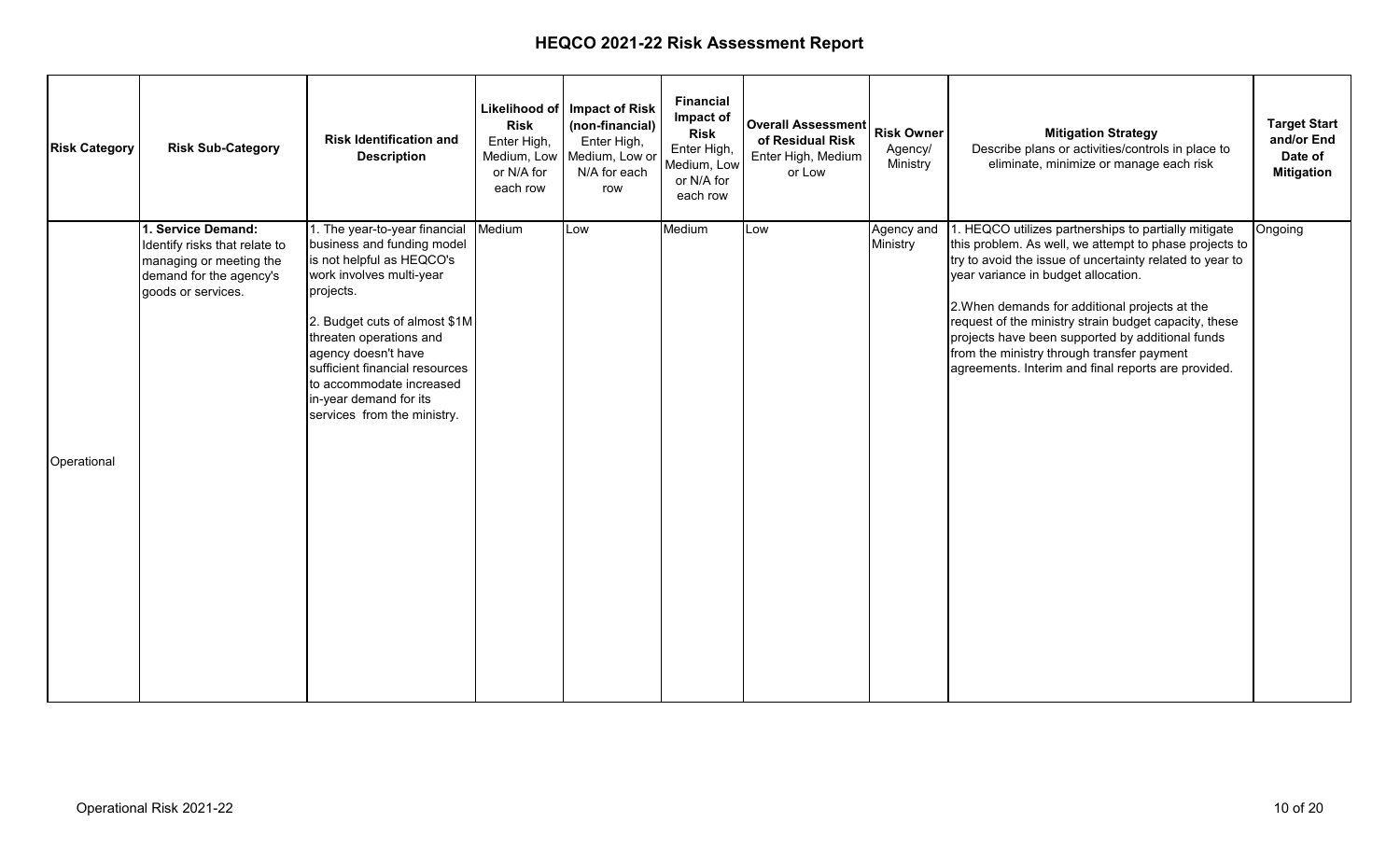Ontario's colleges remain prominent training centres for the skilled trades, HEQCO will explore opportunities for potential research on the barriers to access and the relationship between completion rates and labour market outcomes.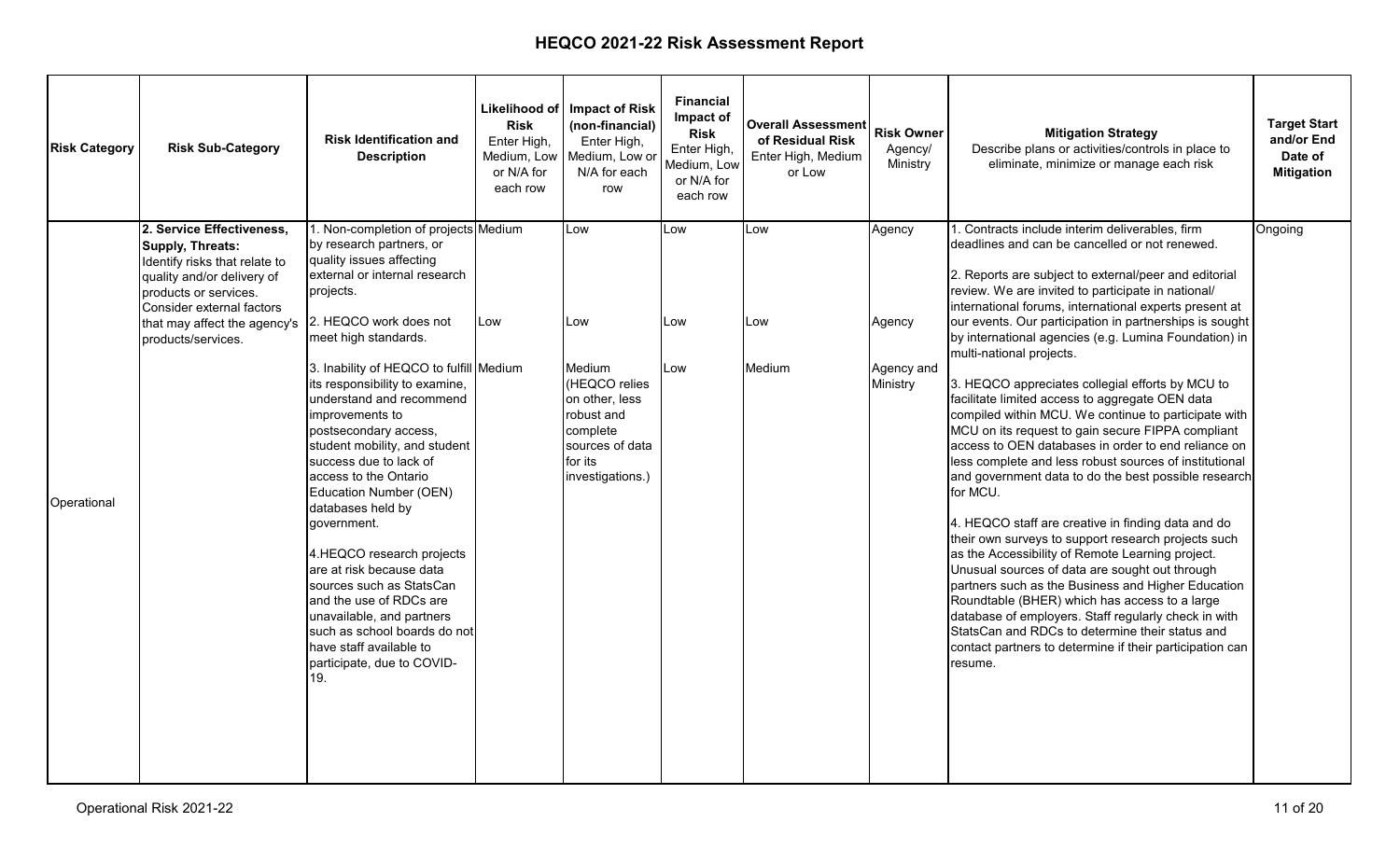# **Agency Performance Metrics**

HEQCO's performance metrics capture the impact and scope of the research agenda and the responsible, efficient use of public funds. Introduced and refined through the previous two Business Plans, these metrics are intended to provide transparent, output-driven metrics that are relevant and straightforward. The use of reporting metrics on research performance is a fraught process and adjustments will be required moving forward.

## **Research:**

Research is at the core of HEQCO's work. Metrics for reporting research impact are challenging to develop and strict quantitative measures may not capture the scope and reach of HEQCO's work. Efforts are currently underway to develop an additional qualitative metric that can be included in future business plans.

Research output - Number of HEQCO authored/published publications, including research reports, government evaluations and assessment projects (including the freedom of speech annual review) and briefing notes. *Note: this metric previously included blogs and commentary products, which are now captured in the communications section under distribution and outreach.*

## Target: 12

Knowledge mobilization and sector outreach - The number of times HEQCO staff present at conferences, roundtables and seminars on HEQCO research projects, or serve as a convener for sector stakeholders. These include virtual/remote conferences or events. Target: 12 annually based on current staffing FTE

## **Administration:**

As a government agency HEQCO works to responsibly and efficiently use public funds in a way that provides value to the government and people of Ontario. The metrics included for operational performance are intended to capture the success of HEQCO in making effective use of its allocated financial resources.

Percentage of administrative overhead - Ratio of administrative overhead to actual expenses. This includes the salaries, benefits, IT, office equipment and operations costs of non-research staff.

#### Target: <10%

Maximizing funding deployment while managing within budget - Deliver HEQCO's mandate within the annual operating budget while maximizing mobilization of funding for research purposes. (Note: as a provincial agency HEQCO is prohibited from operating with costs beyond allocated funding revenues)

Target: >90% of budgeted funds deployed

## **Communications:**

Addressing the challenges facing higher education requires more than government policy. HEQCO's commitment to sharing its work publicly helps inform the Ministry of Colleges and Universities as well as institutional leaders, faculty, students, employers and the general public, and allows them to have informed discussions that help solve the difficult problems facing the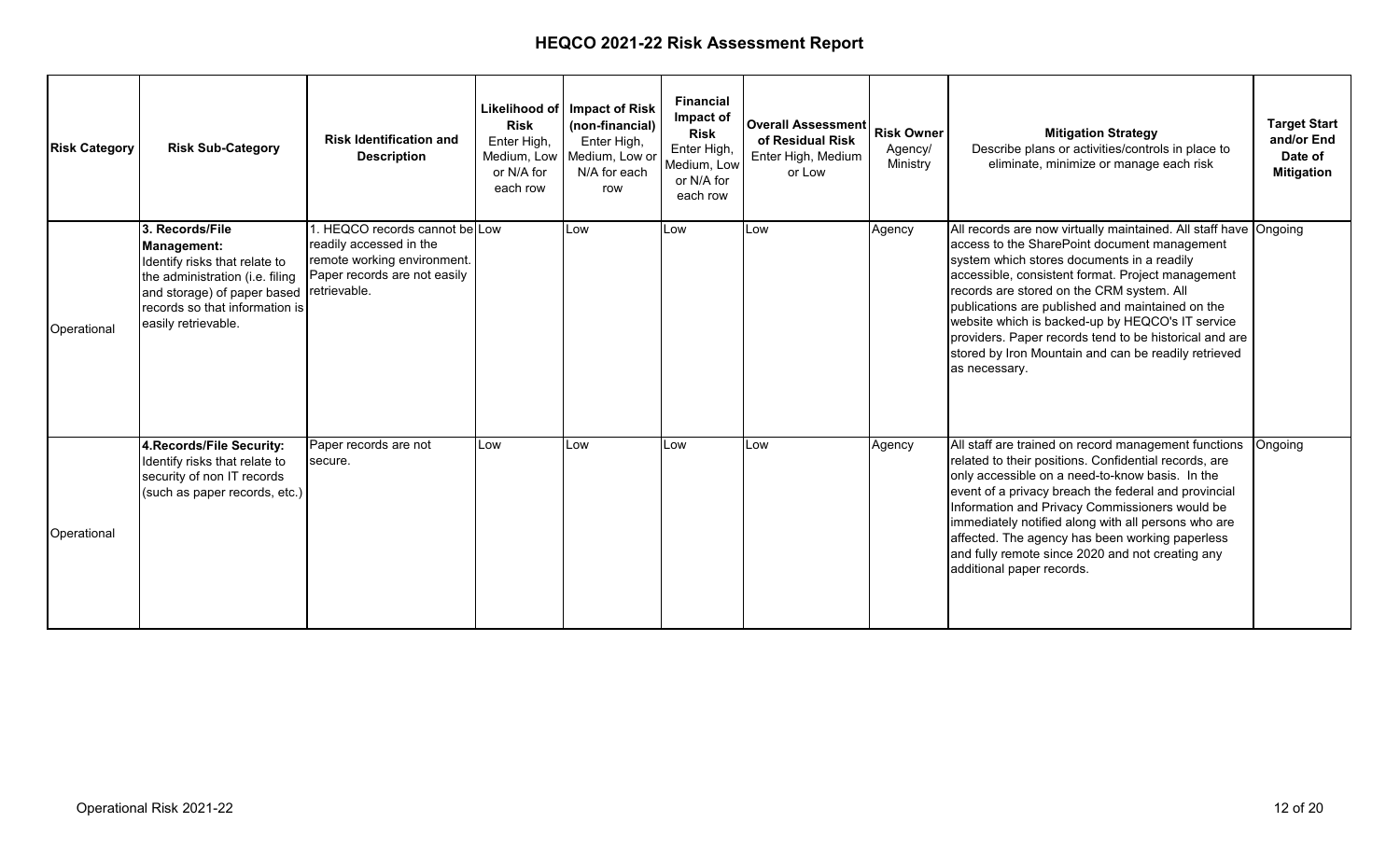sector. The metrics for assessing communications help capture not only individual report readership, but how many are interested in continuing to read HEQCO's work. These metrics reflect the knowledge mobilization goals of HEQCO's communications activities.

Percentage of subscriber growth - The growth percentage of the collective subscribers to HEQCO's email mailing list, Twitter account, Facebook page, LinkedIn page and any future social media platforms.

Readership per product growth percentage - The average pageview count of research publications, blog posts and research-specific web content based on HEQCO's website analytics.

## Target: >7% growth from previous year

Distribution and outreach – The number of direct outreaches to stakeholders/target audiences through accessible, bilingual products with a focus on digital formats on the HEQCO website. These include research products, blogs and commentary, marketing materials and communications products.

Target: 20 products based on current FTE and research framework.

# **Financial Requirements**

Approximately 85% of HEQCO's \$4.1M operating budget is allocated to research — both internal and external — which is the core business of the agency. The remaining funds support council governance, executive services and administration. HEQCO is projecting an underspend of \$400,000 in 2021/22, as a consequence of updated lease expectations and continuing as a fully remote agency for the full 2021/22 fiscal year.

- Renewal of the research and staffing plans continues to build capacity in the project pipeline and research productivity.
- The COVID-19 pandemic easing in 2021 led to a gradual increase in flexibility for gatherings but has not created a consensus that in-person HEQCO conferences and workshops are viable.
- Following HEQCO's decommissioning of its office space on August 30, 2020, the expectation was that an alternate office space would be secured by the end of December 2021. That expectation has been moderated leaving HEQCO continuing in a virtual format much longer than initially thought. This resulted in lease-related underspending of \$525,000 versus budget in fiscal 2021/22.
- Through discussions with the Ministry of Colleges and Universities and Ministry of Government and Consumer Services, HEQCO understands the timeline for potential occupancy of a new office space is likely 2025 or beyond. The three-year financial forecast has been updated to reflect the capital costs relating to a lease agreement beginning in January 2025.

The renewal of the agency under the new President and CEO and Vice President, Research and Policy continues in 2021/22. HEQCO continues to move forward with the new Strategic Research Framework and supports the undertaking of program evaluation work on behalf of the Ministry of Colleges and Universities. HEQCO expanded its current FTE count in the 2021/22 cycle to increase the production of internally based research while continuing to re-engage with sector partners for new multi-year projects through the Skills Consortium. HEQCO requests that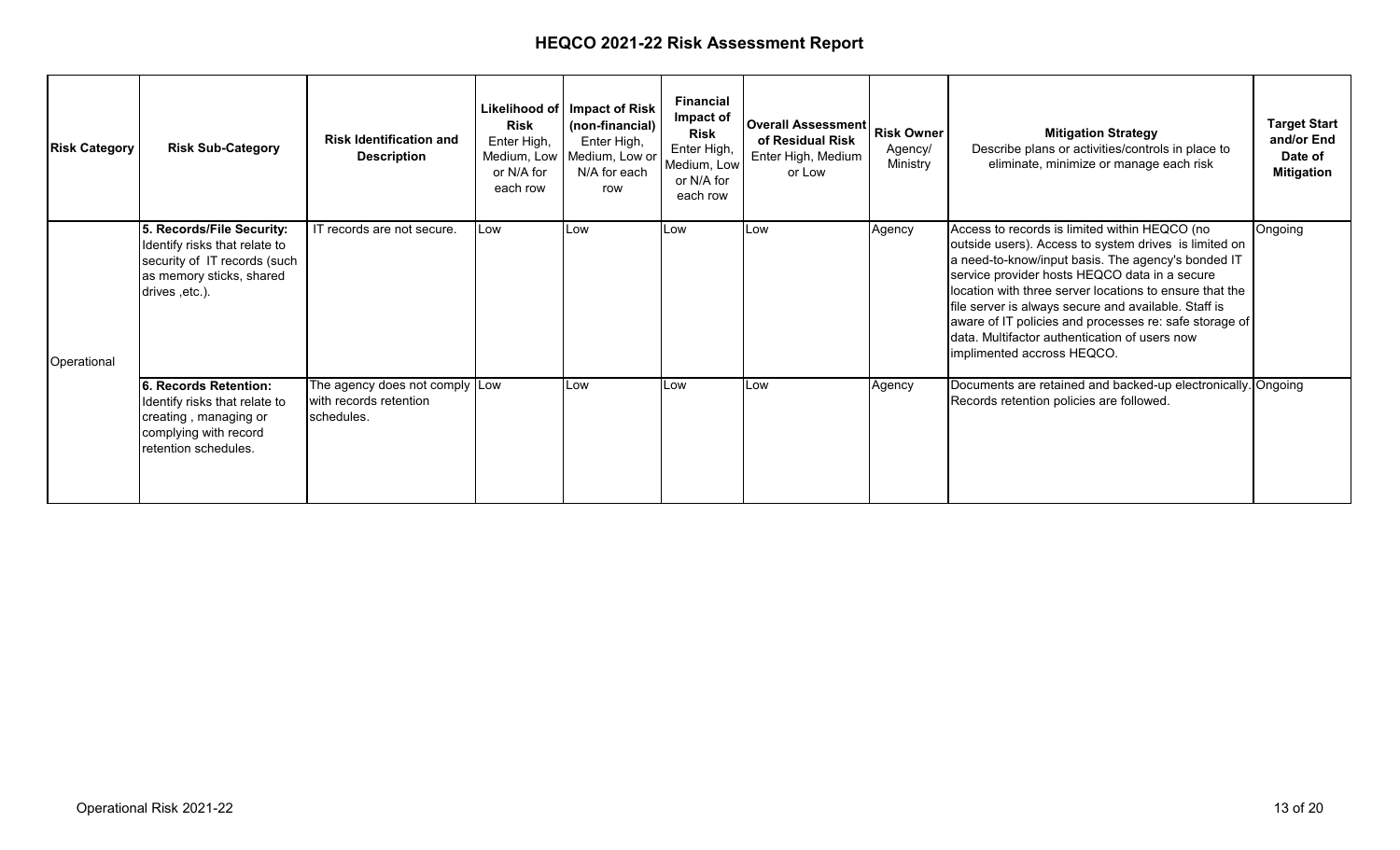its current base budget be preserved for the 2022/23 cycle to continue the implementation of the Strategic Research Framework. HEQCO will also require resources to fund the full commissioning and operating costs of a new office location now projected in the 2024/25 fiscal year.

Appendix 3 provides an estimate of financial resources needed for 2022–2025.

Appendix 4 provides the Risk Assessment Reporting Tool for 2021/22 required by the Agencies and Appointments Directive and approved by HEQCO's Board of Directors.

# **Risk Management**

HEQCO staff continue to work with the Audit Committee to ensure financial controls and oversight are effective and adequate, including updates to employ best practices wherever possible. HEQCO continues to receive clean audit opinions from external auditors in their annual report, which includes a review of HEQCO's internal processes and financial controls.

As part of the leadership renewal occurring in 2020, HEQCO introduced the use of a Risk Heat Map to monitor on a quarterly basis the key risk factors for HEQCO's operations. The Risk Heat Map is presented to the Audit Committee and the Board each quarter with updated mitigation strategies and actions taken to ensure appropriate risk management.

In 2021, the HEQCO Board has welcomed the appointment of three new members who have received their Order in Council for their first term on the Board. To assist the Minister in the future recruitment of Board Members with knowledge and experience needed to support the Board's oversight role, a Board Member Skills Matrix was developed to identify the current strengths of the existing members. This Skills Matrix identifies the key areas of expertise considered important by the Board to support their work in agency governance and accountability. The Board Member Skills Matrix is provided to the Minister when an upcoming Board vacancy is expected to assist in the selection of the most appropriate candidates.

# **Staff Retention and Development**

HEQCO makes considerable investments in the selection, training and professional development of our contract and permanent staff. Given the multi-year nature of certain projects, staff retention is critical to the continuity and quality of the research products. To support the retention and development of staff, HEQCO works within existing provincial regulations regarding compensation, augmented by best practices in equity, diversity and inclusion (EDI); talent management (including performance assessments); mentoring; professional development opportunities; media-interview and writing skills; as well as opportunities for project management and leadership skills development. Facilitated training and development has been provided to all HEQCO staff in 2021 to enhance the understanding of how to create an equitable and inclusive environment both within the workplace and within the context of HEQCO's research projects.

In 2020, HEQCO welcomed Janice Deakin as the new President and CEO and Julia Colyar as Vice President, Research and Policy. In conjunction with developing a new research agenda, an HR review was conducted to ensure the capacity of the agency to deliver on its mandate and